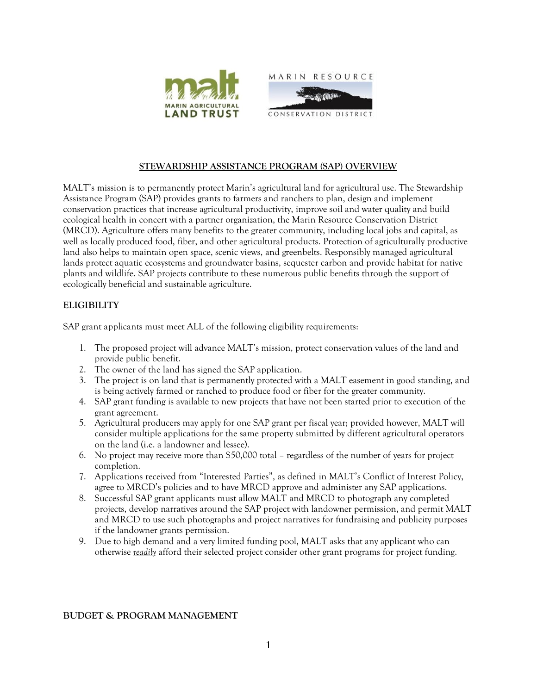



# **STEWARDSHIP ASSISTANCE PROGRAM (SAP) OVERVIEW**

MALT's mission is to permanently protect Marin's agricultural land for agricultural use. The Stewardship Assistance Program (SAP) provides grants to farmers and ranchers to plan, design and implement conservation practices that increase agricultural productivity, improve soil and water quality and build ecological health in concert with a partner organization, the Marin Resource Conservation District (MRCD). Agriculture offers many benefits to the greater community, including local jobs and capital, as well as locally produced food, fiber, and other agricultural products. Protection of agriculturally productive land also helps to maintain open space, scenic views, and greenbelts. Responsibly managed agricultural lands protect aquatic ecosystems and groundwater basins, sequester carbon and provide habitat for native plants and wildlife. SAP projects contribute to these numerous public benefits through the support of ecologically beneficial and sustainable agriculture.

# **ELIGIBILITY**

SAP grant applicants must meet ALL of the following eligibility requirements:

- 1. The proposed project will advance MALT's mission, protect conservation values of the land and provide public benefit.
- 2. The owner of the land has signed the SAP application.
- 3. The project is on land that is permanently protected with a MALT easement in good standing, and is being actively farmed or ranched to produce food or fiber for the greater community.
- 4. SAP grant funding is available to new projects that have not been started prior to execution of the grant agreement.
- 5. Agricultural producers may apply for one SAP grant per fiscal year; provided however, MALT will consider multiple applications for the same property submitted by different agricultural operators on the land (i.e. a landowner and lessee).
- 6. No project may receive more than \$50,000 total regardless of the number of years for project completion.
- 7. Applications received from "Interested Parties", as defined in MALT's Conflict of Interest Policy, agree to MRCD's policies and to have MRCD approve and administer any SAP applications.
- 8. Successful SAP grant applicants must allow MALT and MRCD to photograph any completed projects, develop narratives around the SAP project with landowner permission, and permit MALT and MRCD to use such photographs and project narratives for fundraising and publicity purposes if the landowner grants permission.
- 9. Due to high demand and a very limited funding pool, MALT asks that any applicant who can otherwise *readily* afford their selected project consider other grant programs for project funding.

## **BUDGET & PROGRAM MANAGEMENT**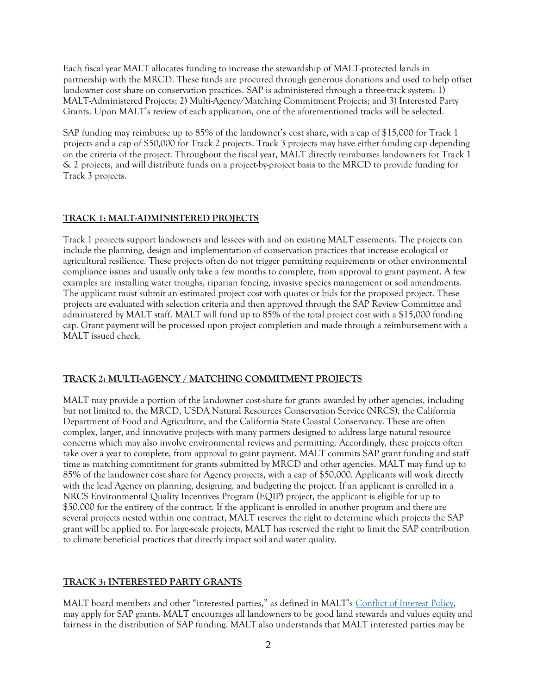Each fiscal year MALT allocates funding to increase the stewardship of MALT-protected lands in partnership with the MRCD. These funds are procured through generous donations and used to help offset landowner cost share on conservation practices. SAP is administered through a three-track system: 1) MALT-Administered Projects; 2) Multi-Agency/Matching Commitment Projects; and 3) Interested Party Grants. Upon MALT's review of each application, one of the aforementioned tracks will be selected.

SAP funding may reimburse up to 85% of the landowner's cost share, with a cap of \$15,000 for Track 1 projects and a cap of \$50,000 for Track 2 projects. Track 3 projects may have either funding cap depending on the criteria of the project. Throughout the fiscal year, MALT directly reimburses landowners for Track 1 & 2 projects, and will distribute funds on a project-by-project basis to the MRCD to provide funding for Track 3 projects.

### **TRACK 1: MALT-ADMINISTERED PROJECTS**

Track 1 projects support landowners and lessees with and on existing MALT easements. The projects can include the planning, design and implementation of conservation practices that increase ecological or agricultural resilience. These projects often do not trigger permitting requirements or other environmental compliance issues and usually only take a few months to complete, from approval to grant payment. A few examples are installing water troughs, riparian fencing, invasive species management or soil amendments. The applicant must submit an estimated project cost with quotes or bids for the proposed project. These projects are evaluated with selection criteria and then approved through the SAP Review Committee and administered by MALT staff. MALT will fund up to 85% of the total project cost with a \$15,000 funding cap. Grant payment will be processed upon project completion and made through a reimbursement with a MALT issued check.

#### **TRACK 2: MULTI-AGENCY / MATCHING COMMITMENT PROJECTS**

MALT may provide a portion of the landowner cost-share for grants awarded by other agencies, including but not limited to, the MRCD, USDA Natural Resources Conservation Service (NRCS), the California Department of Food and Agriculture, and the California State Coastal Conservancy. These are often complex, larger, and innovative projects with many partners designed to address large natural resource concerns which may also involve environmental reviews and permitting. Accordingly, these projects often take over a year to complete, from approval to grant payment. MALT commits SAP grant funding and staff time as matching commitment for grants submitted by MRCD and other agencies. MALT may fund up to 85% of the landowner cost share for Agency projects, with a cap of \$50,000. Applicants will work directly with the lead Agency on planning, designing, and budgeting the project. If an applicant is enrolled in a NRCS Environmental Quality Incentives Program (EQIP) project, the applicant is eligible for up to \$50,000 for the entirety of the contract. If the applicant is enrolled in another program and there are several projects nested within one contract, MALT reserves the right to determine which projects the SAP grant will be applied to. For large-scale projects, MALT has reserved the right to limit the SAP contribution to climate beneficial practices that directly impact soil and water quality.

#### **TRACK 3: INTERESTED PARTY GRANTS**

MALT board members and other "interested parties," as defined in MALT's [Conflict of Interest Policy,](https://malt.org/wp-content/uploads/2021/02/2019-MALT-Conflict-of-Interest-Policy-.pdf) may apply for SAP grants. MALT encourages all landowners to be good land stewards and values equity and fairness in the distribution of SAP funding. MALT also understands that MALT interested parties may be